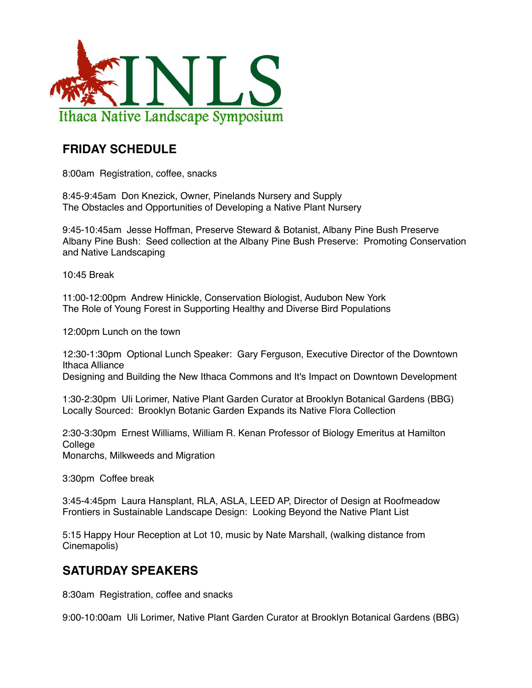

## **FRIDAY SCHEDULE**

8:00am Registration, coffee, snacks

8:45-9:45am Don Knezick, Owner, Pinelands Nursery and Supply The Obstacles and Opportunities of Developing a Native Plant Nursery

9:45-10:45am Jesse Hoffman, Preserve Steward & Botanist, Albany Pine Bush Preserve Albany Pine Bush: Seed collection at the Albany Pine Bush Preserve: Promoting Conservation and Native Landscaping

10:45 Break

11:00-12:00pm Andrew Hinickle, Conservation Biologist, Audubon New York The Role of Young Forest in Supporting Healthy and Diverse Bird Populations

12:00pm Lunch on the town

12:30-1:30pm Optional Lunch Speaker: Gary Ferguson, Executive Director of the Downtown Ithaca Alliance Designing and Building the New Ithaca Commons and It's Impact on Downtown Development

1:30-2:30pm Uli Lorimer, Native Plant Garden Curator at Brooklyn Botanical Gardens (BBG) Locally Sourced: Brooklyn Botanic Garden Expands its Native Flora Collection

2:30-3:30pm Ernest Williams, William R. Kenan Professor of Biology Emeritus at Hamilton **College** Monarchs, Milkweeds and Migration

3:30pm Coffee break

3:45-4:45pm Laura Hansplant, RLA, ASLA, LEED AP, Director of Design at Roofmeadow Frontiers in Sustainable Landscape Design: Looking Beyond the Native Plant List

5:15 Happy Hour Reception at Lot 10, music by Nate Marshall, (walking distance from Cinemapolis)

## **SATURDAY SPEAKERS**

8:30am Registration, coffee and snacks

9:00-10:00am Uli Lorimer, Native Plant Garden Curator at Brooklyn Botanical Gardens (BBG)